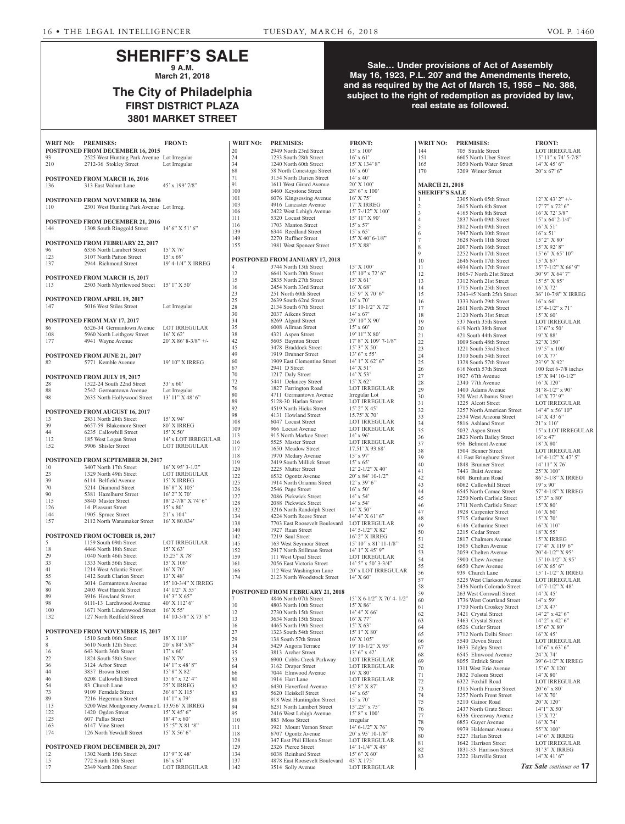# **SHERIFF'S SALE 9 A.M.**

**March 21, 2018**

# **The City of Philadelphia FIRST DISTRICT PLAZA 3801 MARKET STREET**

### **Sale… Under provisions of Act of Assembly May 16, 1923, P.L. 207 and the Amendments thereto, and as required by the Act of March 15, 1956 – No. 388, subject to the right of redemption as provided by law, real estate as followed.**

| WRIT NO:    | <b>PREMISES:</b>                                                   | <b>FRONT:</b>                              | WRIT NO:             | <b>PREMISES:</b>                                      | <b>FRONT:</b>                         | WRIT NO:              | <b>PREMISES:</b>                                       | <b>FRONT:</b>                                   |
|-------------|--------------------------------------------------------------------|--------------------------------------------|----------------------|-------------------------------------------------------|---------------------------------------|-----------------------|--------------------------------------------------------|-------------------------------------------------|
|             | <b>POSTPONED FROM DECEMBER 16, 2015</b>                            |                                            | 20                   | 2949 North 23rd Street                                | $15' \times 100'$                     | 144                   | 705 Strahle Street                                     | <b>LOT IRREGULAR</b>                            |
| 93          | 2525 West Hunting Park Avenue Lot Irregular                        |                                            | 24                   | 1233 South 28th Street                                | $16'$ x 61'                           | 151                   | 6605 North Uber Street                                 | $15'$ $11''$ x $74'$ 5-7/8"                     |
| 210         | 2712-36 Stokley Street                                             | Lot Irregular                              | 34<br>68             | 1240 North 60th Street                                | 15' X 134' 8"                         | 165<br>170            | 3050 North Water Street                                | $14'$ X 45' 6"                                  |
|             |                                                                    |                                            | 71                   | 58 North Conestoga Street<br>3154 North Darien Street | $16'$ x 60'<br>$14'$ x 40'            |                       | 3209 Winter Street                                     | $20'$ x 67' 6"                                  |
| 136         | <b>POSTPONED FROM MARCH 16, 2016</b><br>313 East Walnut Lane       | 45' x 199' 7/8"                            | 91                   | 1611 West Girard Avenue                               | $20'$ X $100'$                        | <b>MARCH 21, 2018</b> |                                                        |                                                 |
|             |                                                                    |                                            | 100                  | 6460 Keystone Street                                  | 28' 6" x 100'                         | <b>SHERIFF'S SALE</b> |                                                        |                                                 |
|             | POSTPONED FROM NOVEMBER 16, 2016                                   |                                            | 101                  | 6076 Kingsessing Avenue                               | $16'$ X 75'                           |                       | 2305 North 05th Street                                 | $12'$ X 43' 2" +/-                              |
| 110         | 2301 West Hunting Park Avenue Lot Irreg.                           |                                            | 103                  | 4916 Lancaster Avenue                                 | 17' X IRREG                           | $\overline{2}$        | 2615 North 6th Street                                  | 17' 7" x 72' 6"                                 |
|             |                                                                    |                                            | 106                  | 2422 West Lehigh Avenue                               | 15' 7-/12" X 100'                     | 3                     | 4165 North 8th Street                                  | $16'$ X 72' 3/8"                                |
|             | <b>POSTPONED FROM DECEMBER 21, 2016</b>                            |                                            | 111                  | 5320 Locust Street                                    | $15'11''$ X 90'                       | $\overline{4}$        | 2837 North 09th Street                                 | $15'$ x 64' 2-1/4"                              |
| 144         | 1308 South Ringgold Street                                         | $14'6''$ X 51'6"                           | 116                  | 1703 Manton Street                                    | $15'$ x 57'                           | 5                     | 3812 North 09th Street                                 | $16'$ X 51'                                     |
|             |                                                                    |                                            | 139                  | 6344 Reedland Street                                  | $15'$ x 65'                           | 6                     | 3947 North 10th Street                                 | $16'$ x 51'                                     |
|             | <b>POSTPONED FROM FEBRUARY 22, 2017</b>                            |                                            | 149                  | 2270 Ruffner Street                                   | $15'$ X 40' 6-1/8"                    | $\overline{7}$        | 3628 North 11th Street                                 | $15'$ 2" X 80'                                  |
| 96          | 6336 North Lambert Street                                          | 15' X 76'                                  | 155                  | 1981 West Spencer Street                              | $15'$ X $88'$                         | 8                     | 2007 North 16th Street                                 | $15'$ X 92' 8"                                  |
| 123         | 3107 North Patton Street                                           | $15'$ x 69'                                |                      |                                                       |                                       | $\mathbf Q$           | 2252 North 17th Street                                 | $15'$ 6" X 65' 10"                              |
| 137         | 2944 Richmond Street                                               | 19' 4-1/4" X IRREG                         |                      | POSTPONED FROM JANUARY 17, 2018                       |                                       | 10                    | 2646 North 17th Street                                 | 15' X 67'                                       |
|             |                                                                    |                                            | $\overline{4}$<br>12 | 3744 North 13th Street<br>6641 North 20th Street      | $15'$ X $100'$<br>$15'$ 10" x 72' 6"  | 11                    | 4934 North 17th Street                                 | $15'$ 7-1/2" X 66' 9"                           |
|             | POSTPONED FROM MARCH 15, 2017                                      |                                            | 15                   | 2835 North 27th Street                                | $15'$ X 61'                           | 12                    | 1605-7 North 21st Street                               | 30' 9" X 64' 7"                                 |
| 113         | 2503 North Myrtlewood Street                                       | $15'1''$ X 50'                             | 16                   | 2454 North 33rd Street                                | $16'$ X 68'                           | 13<br>14              | 3312 North 21st Street                                 | $15'5''$ X 85'<br>16' X 72'                     |
|             |                                                                    |                                            | 23                   | 251 North 60th Street                                 | 15' 9" X 70' 6"                       | 15                    | 1715 North 25th Street<br>3243-45 North 25th Street    | 36' 10-7/8" X IRREG                             |
|             | POSTPONED FROM APRIL 19, 2017                                      |                                            | 25                   | 2639 South 62nd Street                                | $16'$ x 70                            | 16                    | 1333 North 29th Street                                 | $16'$ x 64 <sup><math>\overline{)}</math></sup> |
| 147         | 5016 West Stiles Street                                            | Lot Irregular                              | 28                   | 2134 South 67th Street                                | $15' 10-1/2''$ X 72'                  | 17                    | 2611 North 29th Street                                 | $15' 4 - 1/2''$ x 71'                           |
|             |                                                                    |                                            | 30                   | 2037 Aikens Street                                    | $14' \times 67'$                      | 18                    | 2120 North 31st Street                                 | 15' X 60'                                       |
|             | <b>POSTPONED FROM MAY 17, 2017</b>                                 |                                            | 34                   | 6269 Algard Street                                    | 29' 10" X 90'                         | 19                    | 537 North 35th Street                                  | <b>LOT IRREGULAR</b>                            |
| 86          | 6526-34 Germantown Avenue                                          | LOT IRREGULAR                              | 35                   | 6008 Allman Street                                    | $15' \times 60'$                      | 20                    | 619 North 38th Street                                  | $13'6''$ x 50'                                  |
| 108         | 5960 North Leithgow Street                                         | $16'$ X 62'                                | 38                   | 4321 Aspen Street                                     | 19' 11'' X 80'                        | 21                    | 421 South 44th Street                                  | $19'$ X 88'                                     |
| 177         | 4941 Wayne Avenue                                                  | $20'$ X 86' 8-3/8" +/-                     | 42                   | 5605 Baynton Street                                   | 17' 8" X 109' 7-1/8"                  | 22                    | 1009 South 48th Street                                 | 32' X 150'                                      |
|             |                                                                    |                                            | 45                   | 3478 Braddock Street                                  | $15'3''$ X 50'                        | 23                    | 1221 South 53rd Street                                 | $19'5''$ x $100'$                               |
|             | <b>POSTPONED FROM JUNE 21, 2017</b>                                |                                            | 49                   | 1919 Brunner Street                                   | $13'6''$ x 55'                        | 24                    | 1310 South 54th Street                                 | $16'$ X 77'                                     |
| 82          | 5771 Kemble Avenue                                                 | 19' 10" X IRREG                            | 60                   | 1909 East Clementine Street                           | $14'1''$ X 62' 6"                     | 25                    | 1328 South 57th Street                                 | 23' 9" X 92'                                    |
|             |                                                                    |                                            | 67                   | 2941 D Street                                         | $14'$ X 51'                           | 26                    | 616 North 57th Street                                  | 100 feet $6-7/8$ inches                         |
|             | POSTPONED FROM JULY 19, 2017                                       |                                            | 70                   | 1217 Daly Street                                      | $14'$ X 53'                           | 27                    | 1927 67th Avenue                                       | $15'$ X 94' 10-1/2"                             |
| 28          | 1522-24 South 22nd Street                                          | $33' \times 60'$                           | 72<br>76             | 5441 Delancey Street                                  | $15'$ X 62'                           | 28                    | 2340 77th Avenue                                       | 16' X 120'                                      |
| 88          | 2542 Germantown Avenue                                             | Lot Irregular                              | $80\,$               | 1827 Farrington Road<br>4711 Germantown Avenue        | <b>LOT IRREGULAR</b>                  | 29                    | 1400 Adams Avenue                                      | $31' 8-1/2''$ x 90'                             |
| 98          | 2635 North Hollywood Street                                        | 13' 11" X 48' 6"                           | 89                   | 5128-30 Harlan Street                                 | Irregular Lot<br><b>LOT IRREGULAR</b> | 30                    | 320 West Albanus Street                                | 14' X 77' 9"                                    |
|             |                                                                    |                                            | 92                   | 4519 North Hicks Street                               | $15'$ 2" X 45'                        | 31                    | 1225 Alcott Street                                     | <b>LOT IRREGULAR</b>                            |
|             | POSTPONED FROM AUGUST 16, 2017                                     |                                            | 98                   | 4131 Howland Street                                   | $15.75'$ X 70'                        | 32<br>33              | 3257 North American Street<br>2534 West Arizona Street | $14'$ 4" x 56' 10"<br>$14'$ X 43' 6"            |
| 13          | 2831 North 28th Street                                             | $15'$ X 94'                                | 108                  | 6047 Locust Street                                    | <b>LOT IRREGULAR</b>                  | 34                    | 5816 Ashland Street                                    | $21' \times 110'$                               |
| 39          | 6657-59 Blakemore Street                                           | 80' X IRREG                                | 109                  | 966 Locust Avenue                                     | LOT IRREGULAR                         | 35                    | 5032 Aspen Street                                      | 15' x LOT IRREGULAR                             |
| 44          | 6235 Callowhill Street                                             | 15' X 50'                                  | 113                  | 915 North Markoe Street                               | $14'$ x 96'                           | 36                    | 2823 North Bailey Street                               | $16'$ x 47'                                     |
| 112         | 185 West Logan Street                                              | 14' x LOT IRREGULAR                        | 116                  | 5525 Master Street                                    | LOT IRREGULAR                         | 37                    | 956 Belmont Avenue                                     | 18' X 80'                                       |
| 152         | 5906 Shisler Street                                                | LOT IRREGULAR                              | 117                  | 1650 Meadow Street                                    | 17.51' X 93.68'                       | 38                    | 1504 Benner Street                                     | <b>LOT IRREGULAR</b>                            |
|             |                                                                    |                                            | 118                  | 1970 Medary Avenue                                    | $15'$ x 97'                           | 39                    | 41 East Bringhurst Street                              | $14' 4 - 1/2''  X 47' 5''$                      |
|             | <b>POSTPONED FROM SEPTEMBER 20, 2017</b>                           | $16'$ X 95' 3-1/2"                         | 119                  | 2419 South Millick Street                             | $15'$ x 65'                           | 40                    | 1848 Brunner Street                                    | 14' 11" X 76'                                   |
| 10          | 3407 North 17th Street<br>1329 North 49th Street                   | LOT IRREGULAR                              | 120                  | 2225 Mutter Street                                    | $12'$ 2- $1/2''$ X 40'                | 41                    | 7443 Buist Avenue                                      | 25' X 100'                                      |
| 23<br>39    | 6114 Belfield Avenue                                               | 15' X IRREG                                | 122                  | 6532 Ogontz Avenue                                    | 20' x 84' 10-1/2"                     | 42                    | 600 Burnham Road                                       | 86' 5-1/8" X IRREG                              |
| 70          | 5214 Diamond Street                                                | 16' 8" X 105'                              | 125                  | 1914 North Orianna Street                             | $12'$ x 39' 6"                        | 43                    | 6062 Callowhill Street                                 | $19'$ x 90'                                     |
| 90          | 5381 Hazelhurst Street                                             | $16'$ 2" X 70"                             | 126                  | 2546 Page Street                                      | $16'$ x 50'                           | 44                    | 6545 North Camac Street                                | 57' 4-1/8" X IRREG                              |
| 115         | 5840 Master Street                                                 | 18' 2-7/8" X 74' 6"                        | 127<br>128           | 2086 Pickwick Street                                  | $14'$ x 54'                           | 45                    | 3250 North Carlisle Street                             | $15'3''$ x 80'                                  |
| 126         | 14 Pleasant Street                                                 | $15' \times 80'$                           | 132                  | 2088 Pickwick Street<br>3216 North Randolph Street    | $14'$ x 54'<br>14' X 50'              | 46                    | 3711 North Carlisle Street                             | $15'$ X $80'$                                   |
| 144         | 1905 Spruce Street                                                 | $21' \times 104'$                          | 134                  | 4224 North Reese Street                               | 14' 4'' X 61' 6''                     | 47                    | 1928 Carpenter Street                                  | $16'$ X 60'                                     |
| 157         | 2112 North Wanamaker Street                                        | 16' X 80.834'                              | 138                  | 7703 East Roosevelt Boulevard                         | LOT IRREGULAR                         | 48                    | 5715 Catharine Street                                  | 15' X 70'                                       |
|             |                                                                    |                                            | 140                  | 1927 Ruan Street                                      | $14'$ 5-1/2" X 82"                    | 49                    | 6146 Catharine Street                                  | 16' X 110'                                      |
|             | POSTPONED FROM OCTOBER 18, 2017                                    |                                            | 142                  | 7219 Saul Street                                      | 16' 2" X IRREG                        | 50<br>51              | 2215 Cedar Street<br>2817 Chalmers Avenue              | $18'$ X 55'<br>15' X IRREG                      |
| 5           | 1159 South 09th Street                                             | <b>LOT IRREGULAR</b>                       | 145                  | 163 West Seymour Street                               | $15'10''$ x 81' 11-1/8"               | 52                    | 1505 Chelten Avenue                                    | $17'$ 4" X $119'$ 6"                            |
| 18          | 4446 North 18th Street                                             | 15' X 63'                                  | 152                  | 2917 North Stillman Street                            | $14'1''$ X $45'9''$                   | 53                    | 2059 Chelten Avenue                                    | $20' 4-1/2'' X 95'$                             |
| 29          | 1040 North 46th Street                                             | $15.25"$ X 78"                             | 159                  | 111 West Upsal Street                                 | <b>LOT IRREGULAR</b>                  | 54                    | 5900 Chew Avenue                                       | $15' 10-1/2'' X 95'$                            |
| 33          | 1333 North 56th Street                                             | 15' X 106'                                 | 161                  | 2056 East Victoria Street                             | $14'$ 5" x 50' 3-3/4"                 | 55                    | 6650 Chew Avenue                                       | $16'$ X 65' 6"                                  |
| 41          | 1214 West Atlantic Street                                          | $16'$ X 70'                                | 166                  | 112 West Washington Lane                              | 20' x LOT IRREGULAR                   | 56                    | 939 Church Lane                                        | 15' 1-1/2" X IRREG                              |
| 55<br>76    | 1412 South Clarion Street                                          | 13' X 48'                                  | 174                  | 2123 North Woodstock Street                           | $14'$ X 60'                           | 57                    | 5225 West Clarkson Avenue                              | <b>LOT IRREGULAR</b>                            |
| 80          | 3014 Germantown Avenue<br>2403 West Harold Street                  | 15' 10-3/4" X IRREG<br>$14'$ $1/2''$ X 55' |                      |                                                       |                                       | 58                    | 2436 North Colorado Street                             | $14'$ 7- $1/2''$ X 48'                          |
| 89          | 3916 Howland Street                                                | 14' 3" X 65"                               |                      | POSTPONED FROM FEBRUARY 21, 2018                      |                                       | 59                    | 263 West Cornwall Street                               | 14' X 45'                                       |
| 98          | 6111-13 Larchwood Avenue                                           | 40' X 112' 6"                              |                      | 4846 North 07th Street                                | 15' X 6-1/2" X 70' 4-1/2"             | 60                    | 1736 West Courtland Street                             | $14'$ x 59'                                     |
| 100         | 1671 North Lindenwood Street                                       | $16'$ X 55'                                | 10                   | 4803 North 10th Street                                | $15'$ X $86'$                         | 61                    | 1750 North Croskey Street                              | 15' X 47'                                       |
| 132         | 127 North Redfield Street                                          | 14' 10-3/8" X 73' 6"                       | 12<br>13             | 2730 North 15th Street                                | 14' 4'' X 66'                         | 62                    | 3421 Crystal Street                                    | $14'$ 2" x 42' 6"                               |
|             |                                                                    |                                            | 16                   | 3634 North 15th Street<br>4465 North 19th Street      | 16' X 77'<br>15' X 63'                | 63                    | 3463 Crystal Street                                    | $14'$ 2" x 42' 6"                               |
|             | <b>POSTPONED FROM NOVEMBER 15, 2017</b>                            |                                            | 27                   | 1323 South 54th Street                                | $15'1''$ X 80'                        | 64                    | 6526 Cutler Street                                     | 15' 6'' X 80'                                   |
| 3           | 1510 South 06th Street                                             | $18'$ X $110'$                             | 29                   | 138 South 57th Street                                 | $16'$ X $105'$                        | 65                    | 3712 North Delhi Street                                | $16'$ X 45'                                     |
| $\,$ 8 $\,$ | 5610 North 12th Street                                             | $20'$ x 84' $5/8"$                         | 34                   | 5429 Angora Terrace                                   | 19' 10-1/2" X 95'                     | 66<br>67              | 5540 Devon Street                                      | <b>LOT IRREGULAR</b>                            |
| 16          | 643 North 36th Street                                              | $17' \times 60'$                           | 35                   | 3813 Archer Street                                    | $13'6''$ x 42'                        | 68                    | 1633 Edgley Street<br>6545 Elmwood Avenue              | $14'6''$ x 63' 6"<br>24' X 74'                  |
| 22          | 1824 South 58th Street                                             | $16'$ X 79'                                | 53                   | 6900 Cobbs Creek Parkway                              | LOT IRREGULAR                         | 69                    | 8055 Erdrick Street                                    | 39' 6-1/2" X IRREG                              |
| 36          | 3124 Arbor Street                                                  | $14'1''$ x $48'8''$                        | 64                   | 3162 Draper Street                                    | LOT IRREGULAR                         | 70                    | 1311 West Erie Avenue                                  | 15' 6" X 120'                                   |
| 44          | 3837 Brown Street                                                  | 15' 8" X 82'                               | 66                   | 7044 Elmwood Avenue                                   | $16'$ X $80'$                         | 71                    | 3832 Folsom Street                                     | $14'$ X $80'$                                   |
| 46          | 6208 Callowhill Street                                             | $15'$ 6" x 72' 4"                          | 80                   | 1914 Hart Lane                                        | LOT IRREGULAR                         | 72                    | 6322 Foxhill Road                                      | <b>LOT IRREGULAR</b>                            |
| 54          | 83 Church Lane                                                     | 25' X IRREG                                | 82                   | 6430 Haverford Avenue                                 | 15' 8" X 87'                          | 73                    | 1315 North Frazier Street                              | $20'6''$ x 80'                                  |
| 73          | 9109 Ferndale Street                                               | 36' 6" X 115'                              | 83                   | 5620 Heiskell Street                                  | $14'$ x 65'                           | 74                    | 3257 North Front Street                                | $16'$ X 70'                                     |
| 89          | 7216 Hegerman Street                                               | $14'1''$ x 79'                             | $88\,$               | 918 West Huntingdon Street                            | $15'$ x 70'                           | 75                    | 5210 Gainor Road                                       | 20' X 120'                                      |
| 113<br>122  | 5200 West Montgomery Avenue L 13.956' X IRREG<br>1420 Ogden Street | $15'$ X 45' 6"                             | 94                   | 6231 North Lambert Street                             | $15'$ .25" x 75"                      | 76                    | 2437 North Gratz Street                                | $14'1''$ X 50'                                  |
| 125         | 607 Pallas Street                                                  | $18' 4''$ x 60'                            | 95<br>110            | 2416 West Lehigh Avenue<br>883 Moss Street            | $15'8''$ x $100'$                     | 77                    | 6336 Greenway Avenue                                   | $15'$ X 72'                                     |
| 163         | 6147 Vine Street                                                   | 15 '5" X 81 '8"                            | 111                  | 3921 Mount Vernon Street                              | irregular<br>$14' 6 - 1/2'' X 76'$    | 78                    | 6853 Guyer Avenue                                      | 16' X 74'                                       |
| 174         | 126 North Yewdall Street                                           | $15'$ X 56' 6"                             | 118                  | 6707 Ogontz Avenue                                    | $20'$ x 95' 10-1/8"                   | 79                    | 9979 Haldeman Avenue                                   | 55' X 100'                                      |
|             |                                                                    |                                            | 128                  | 347 East Phil Ellena Street                           | LOT IRREGULAR                         | 80                    | 5227 Harlan Street                                     | 14' 6" X IRREG                                  |
|             | <b>POSTPONED FROM DECEMBER 20, 2017</b>                            |                                            | 129                  | 2326 Pierce Street                                    | $14' 1 - 1/4'' X 48'$                 | 81                    | 1642 Harrison Street                                   | <b>LOT IRREGULAR</b>                            |
| 12          | 1302 North 15th Street                                             | $13'$ 9" X 48'                             | 134                  | 6038 Reinhard Street                                  | $15'6''$ X 60'                        | 82<br>83              | 1831-33 Harrison Street                                | 31' 3" X IRREG<br>$14'$ X 41' 6"                |
| 15          | 772 South 18th Street                                              | $16'$ x 54'                                | 137                  | 4878 East Roosevelt Boulevard                         | $43'$ X 175'                          |                       | 3222 Hartville Street                                  |                                                 |
| 17          | 2349 North 20th Street                                             | <b>LOT IRREGULAR</b>                       | 142                  | 3514 Solly Avenue                                     | LOT IRREGULAR                         |                       |                                                        | Tax Sale continues on 17                        |